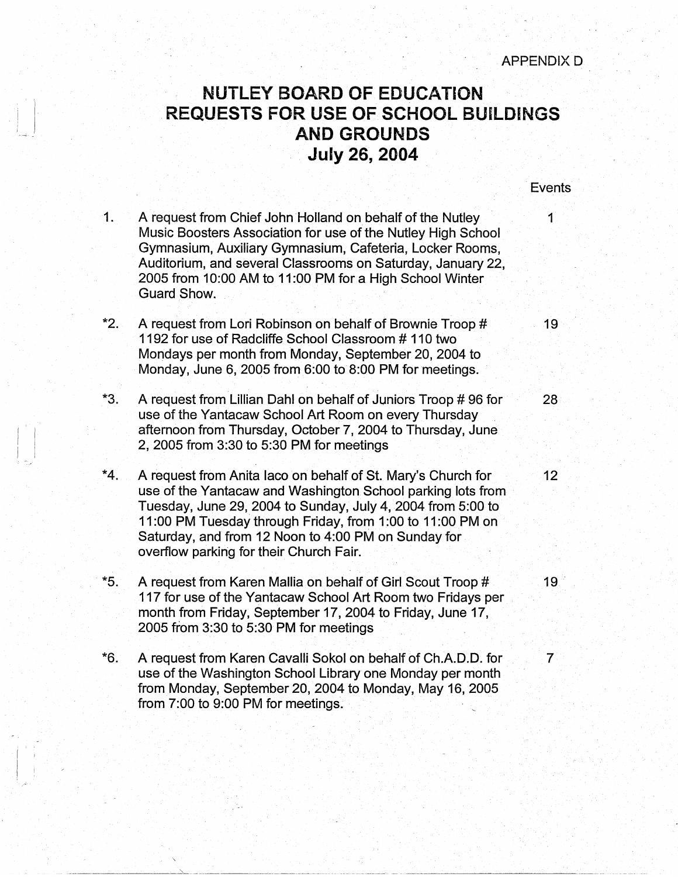## **NUTLEY BOARD OF EDUCATION**  . **REQUESTS FOR USE OF SCHOOL BUILDINGS .. AND GROUNDS July 26, 2004**

**Events** 

- 1. A request from Chief John Holland on behalf of the Nutley 1 Music Boosters Association for use of the Nutley High School Gymnasium, Auxiliary Gymnasium, Cafeteria, Locker Rooms, Auditorium, and several Classrooms on Saturday, January 22, 2005 from 10:00 AM to 11 :00 PM for a High School Winter Guard Show.
- \*2. A request from Lori Robinson on behalf of Brownie Troop # 19 1192 for use of Radcliffe School Classroom # 110 two Mondays per month from Monday, September 20, 2004 to Monday, June 6, 2005 from  $6:00$  to  $8:00$  PM for meetings.
- \*3. A request from Lillian Dahl on behalf of Juniors Troop #96 for use of the Yantacaw School Art Room on every Thursday afternoon from Thursday, October 7, 2004 to Thursday, June 2, 2005 from 3:30 to 5:30 PM for meetings

 $\left| \begin{array}{c} 1 \\ 1 \end{array} \right|$ 

- \*4. A request from Anita Iaco on behalf of St. Mary's Church for 12 use of the Yantacaw and Washington School parking lots from Tuesday, June 29, 2004 to Sunday, July 4, 2004 from 5:00 to 11:00 PM Tuesday through Friday, from 1:00 to 11:00 PM on Saturday, and from 12 Noon to 4:00 PM on Sunday for overflow parking for their Church Fair.
- \*5. A request from Karen Mallia on behalf of Girl. Scout Troop # 19 117 for use of the Yantacaw School Art Room two Fridays per month from Friday, September 17, 2004 to Friday, June 17, 2005 from 3:30 to 5:30 PM for meetings
- \*6. A request from Karen Cavalli Sokol on behalf of Ch.A.D.D. for 7 use of the Washington School Library one Monday per month from Monday, September 20, 2004 to Monday, May 16, 2005 from  $7:00$  to  $9:00$  PM for meetings.

·- -·--·---------~-· . " -------·-------·-------------~--- ·-- ···- -~·-·- - --·-----·- -- ·-

28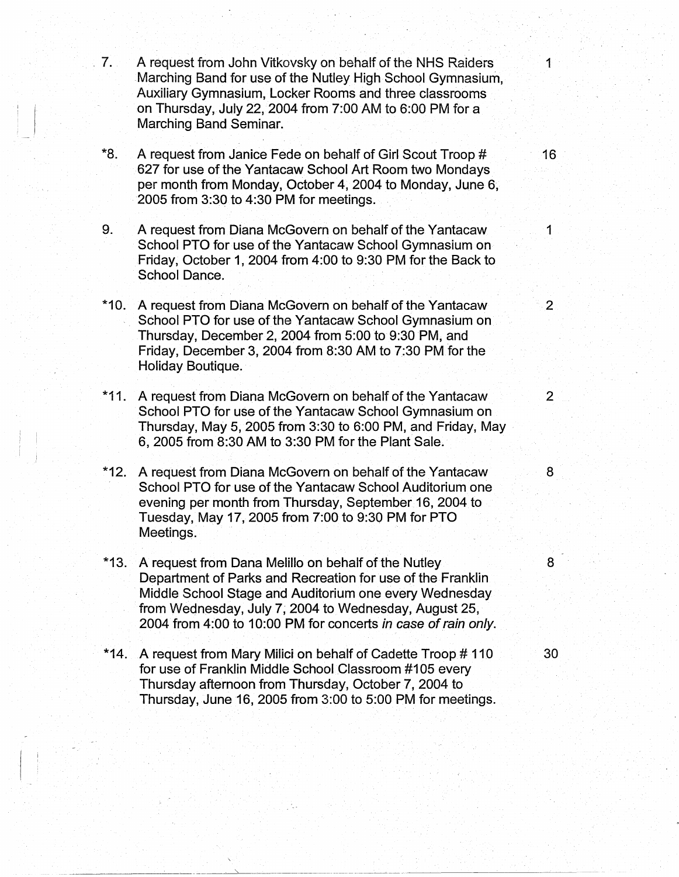- 1. A request from John Vitkovsky on behalf of the NHS Raiders 1. 1 Marching Band for use of the Nutley High School Gymnasium, Auxiliary Gymnasium, Locker Rooms and three classrooms on Thursday, July 22, 2004 from 7:00 AM to 6:00 PM for a Marching Band Seminar.
	- **\*8.** A request from Janice Fede on behalf of Girl Scout Troop # 16 627 for use of the Yantacaw School Art Room two Mondays per month from Monday, October 4, 2004 to Monday, June 6, 2005 from 3:30 to 4:30 PM for meetings.
	- 9. A request from Diana McGovern on behalf of the Yantacaw 1 School PTO for use of the Yantacaw School Gymnasium on Friday, October 1, 2004 from 4:00 to 9:30 PM for the Back to School Dance.
	- \*10. A request from Diana McGovern on behalf of the Yantacaw 2 School PTO for use of the Yantacaw School Gymnasium on Thursday, December 2, 2004 from 5:00 to 9:30 PM, and Friday, December 3, 2004 from 8:30 AM to 7:30 PM for the Holiday Boutique.
	- \*11. A request from Diana McGovern on behalf of the Yantacaw 2 School PTO for use of the Yantacaw School Gymnasium on Thursday, May 5, 2005 from 3:30 to 6:00 PM, and Friday, May 6, 2005 from 8:30 AM to 3:30 PM for the Plant Sale.
	- **\*12.** A request from Diana McGovern on behalf of the Yantacaw 8 School PTO for use of the Yantacaw School Auditorium one evening per month from Thursday, September 16, 2004 to Tuesday, May 17, 2005 from 7:00 to 9:30 PM for PTO Meetings.
	- \*13. A request from Dana Melillo on behalf of the Nutley 8 Department of Parks and Recreation for use of the Franklin Middle School Stage and Auditorium one every Wednesday from Wednesday, July 7; 2004 to Wednesday, August 25, 2004 from 4:00 to 10:00 PM for concerts in case of rain only.
	- \*14. A request from Mary Milici on behalf of Cadette Troop # 110 30 for use of Franklin Middle School Classroom #105 every Thursday afternoon from Thursday, October 7, 2004 to Thursday, June 16, 2005 from 3:00 to 5:00 PM for meetings.

---·---------~----~--------·-- " ------------------- \_\_\_\_\_\_\_ ,\_\_ \_